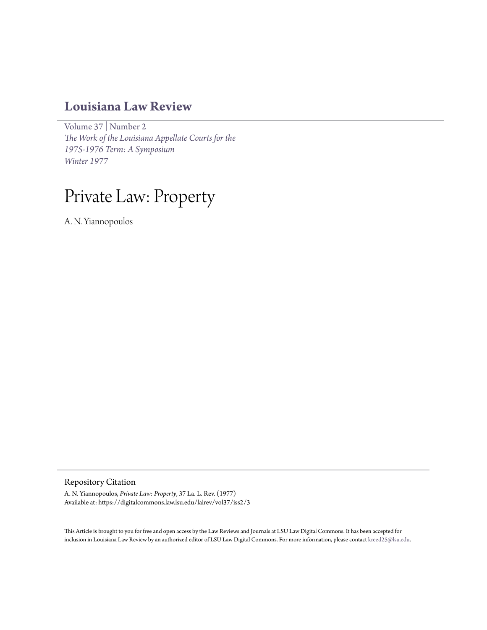# **[Louisiana Law Review](https://digitalcommons.law.lsu.edu/lalrev)**

[Volume 37](https://digitalcommons.law.lsu.edu/lalrev/vol37) | [Number 2](https://digitalcommons.law.lsu.edu/lalrev/vol37/iss2) *[The Work of the Louisiana Appellate Courts for the](https://digitalcommons.law.lsu.edu/lalrev/vol37/iss2) [1975-1976 Term: A Symposium](https://digitalcommons.law.lsu.edu/lalrev/vol37/iss2) [Winter 1977](https://digitalcommons.law.lsu.edu/lalrev/vol37/iss2)*

# Private Law: Property

A. N. Yiannopoulos

# Repository Citation

A. N. Yiannopoulos, *Private Law: Property*, 37 La. L. Rev. (1977) Available at: https://digitalcommons.law.lsu.edu/lalrev/vol37/iss2/3

This Article is brought to you for free and open access by the Law Reviews and Journals at LSU Law Digital Commons. It has been accepted for inclusion in Louisiana Law Review by an authorized editor of LSU Law Digital Commons. For more information, please contact [kreed25@lsu.edu](mailto:kreed25@lsu.edu).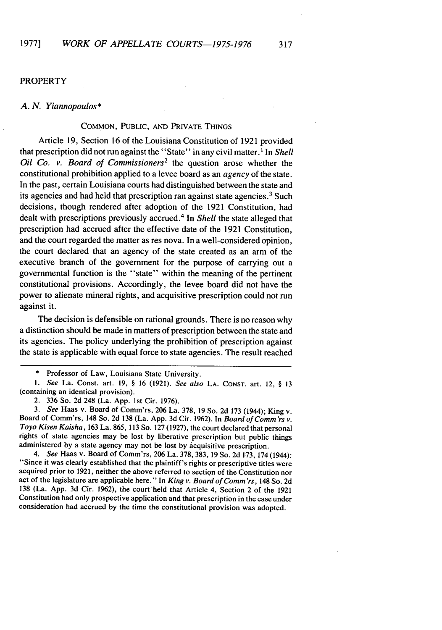# **PROPERTY**

#### *A. N. Yiannopoulos\**

# COMMON, PUBLIC, AND PRIVATE THINGS

Article 19, Section 16 of the Louisiana Constitution of 1921 provided that prescription did not run against the "State" in any civil matter. **I** In *Shell Oil Co. v. Board of Commissioners2* the question arose whether the constitutional prohibition applied to a levee board as an agency of the state. In the past, certain Louisiana courts had distinguished between the state and its agencies and had held that prescription ran against state agencies.<sup>3</sup> Such decisions, though rendered after adoption of the 1921 Constitution, had dealt with prescriptions previously accrued.4 In *Shell* the state alleged that prescription had accrued after the effective date of the 1921 Constitution, and the court regarded the matter as res nova. In a well-considered opinion, the court declared that an agency of the state created as an arm of the executive branch of the government for the purpose of carrying out a governmental function is the "state" within the meaning of the pertinent constitutional provisions. Accordingly, the levee board did not have the power to alienate mineral rights, and acquisitive prescription could not run against it.

The decision is defensible on rational grounds. There is no reason why a distinction should be made in matters of prescription between the state and its agencies. The policy underlying the prohibition of prescription against the state is applicable with equal force to state agencies. The result reached

*3. See* Haas v. Board of Comm'rs, 206 La. 378, **19** So. 2d **173** (1944); King v. Board of Comm'rs, 148 So. 2d **138** (La. App. 3d Cir. 1962). In Board of *Comm 'rs* v. *Toyo Kisen Kaisha,* **163** La. 865, **113** So. **127** (1927), the court declared that personal rights of state agencies may be lost **by** liberative prescription but public things administered **by** a state agency may not be lost **by** acquisitive prescription.

*4. See* Haas v. Board of Comm'rs, 206 La. **378, 383, 19** So. 2d 173, 174 (1944): "Since it was clearly established that the plaintiff's rights or prescriptive titles were acquired prior to **1921,** neither the above referred to section of the Constitution nor act of the legislature are applicable here." In *King v. Board of Comm 'rs,* 148 So. 2d **138** (La. App. 3d Cir. 1962), the court held that Article 4, Section 2 of the 1921 Constitution had only prospective application and that prescription in the case under consideration had accrued **by** the time the constitutional provision was adopted.

<sup>\*</sup> Professor of Law, Louisiana State University.

*<sup>1.</sup>* See La. Const. art. **19,** § **16** (1921). See also **LA.** CONST. art. 12, § **13** (containing an identical provision).

<sup>2.</sup> **336** So. 2d 248 (La. App. **1st** Cir. 1976).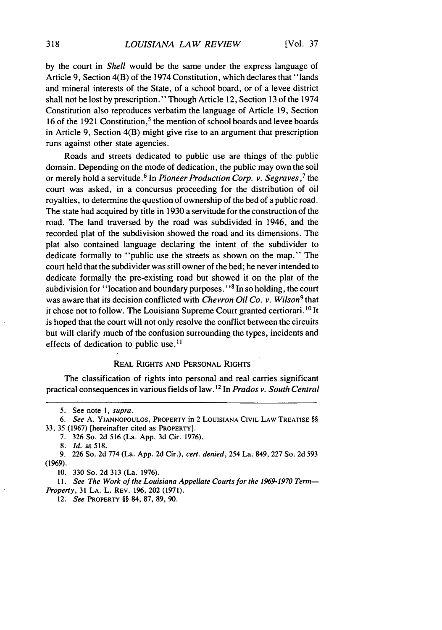by the court in *Shell* would be the same under the express language of Article 9, Section 4(B) of the 1974 Constitution, which declares that "lands and mineral interests of the State, of a school board, or of a levee district shall not be lost by prescription." Though Article 12, Section 13 of the 1974 Constitution also reproduces verbatim the language of Article 19, Section 16 of the 1921 Constitution,<sup>5</sup> the mention of school boards and levee boards in Article 9, Section 4(B) might give rise to an argument that prescription runs against other state agencies.

Roads and streets dedicated to public use are things of the public domain. Depending on the mode of dedication, the public may own the soil or merely hold a servitude. **6** In *Pioneer Production Corp. v. Segraves,7* the court was asked, in a concursus proceeding for the distribution of oil royalties, to determine the question of ownership of the bed of a public road. The state had acquired by title in 1930 a servitude for the construction of the road. The land traversed by the road was subdivided in 1946, and the recorded plat of the subdivision showed the road and its dimensions. The plat also contained language declaring the intent of the subdivider to dedicate formally to "public use the streets as shown on the map." The court held that the subdivider was still owner of the bed; he never intended to dedicate formally the pre-existing road but showed it on the plat of the subdivision for "location and boundary purposes."<sup>8</sup> In so holding, the court was aware that its decision conflicted with *Chevron Oil Co. v. Wilson<sup>9</sup>*that it chose not to follow. The Louisiana Supreme Court granted certiorari.<sup>10</sup> It is hoped that the court will not only resolve the conflict between the circuits but will clarify much of the confusion surrounding the types, incidents and effects of dedication to public use.<sup>11</sup>

#### REAL RIGHTS AND PERSONAL RIGHTS

The classification of rights into personal and real carries significant practical consequences in various fields of law. **1 <sup>2</sup>**In *Prados v. South Central*

12. *See* PROPERTY §§ 84, 87, 89, 90.

<sup>5.</sup> See note 1, supra.

<sup>6.</sup> *See* A. **YIANNOPOULOS,** PROPERTY in 2 LOUISIANA CIVIL LAW TREATISE §§ 33, 35 (1967) [hereinafter cited as PROPERTY].

<sup>7. 326</sup> So. 2d 516 (La. App. 3d Cir. 1976).

**<sup>8.</sup>** *Id.* at **518.**

<sup>9. 226</sup> So. 2d 774 (La. App. 2d Cir.), *cert. denied,* 254 La. 849, 227 So. 2d 593 (1969).

**<sup>10.</sup>** 330 So. 2d 313 (La. 1976).

<sup>11.</sup> *See The Work of the Louisiana Appellate Courts for the 1969-1970 Term-Property,* 31 **LA.** L. REV. 196, 202 (1971).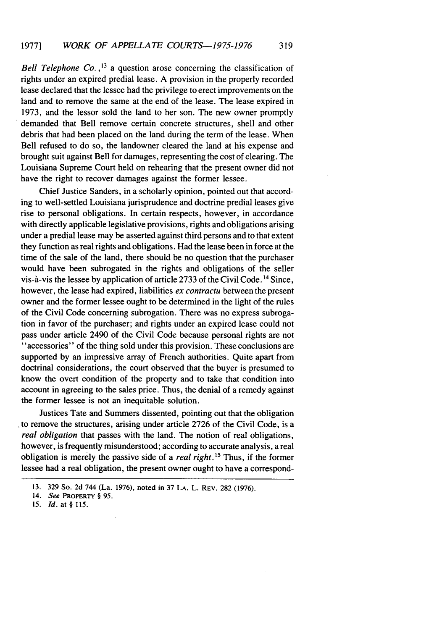*Bell Telephone Co.*,<sup>13</sup> a question arose concerning the classification of rights under an expired predial lease. A provision in the properly recorded lease declared that the lessee had the privilege to erect improvements on the land and to remove the same at the end of the lease. The lease expired in 1973, and the lessor sold the land to her son. The new owner promptly demanded that Bell remove certain concrete structures, shell and other debris that had been placed on the land during the term of the lease. When Bell refused to do so, the landowner cleared the land at his expense and brought suit against Bell for damages, representing the cost of clearing. The Louisiana Supreme Court held on rehearing that the present owner did not have the right to recover damages against the former lessee.

Chief Justice Sanders, in a scholarly opinion, pointed out that according to well-settled Louisiana jurisprudence and doctrine predial leases give rise to personal obligations. In certain respects, however, in accordance with directly applicable legislative provisions, rights and obligations arising under a predial lease may be asserted against third persons and to that extent they function as real rights and obligations. Had the lease been in force at the time of the sale of the land, there should be no question that the purchaser would have been subrogated in the rights and obligations of the seller vis-à-vis the lessee by application of article 2733 of the Civil Code.<sup>14</sup> Since, however, the lease had expired, liabilities *ex contractu* between the present owner and the former lessee ought to be determined in the light of the rules of the Civil Code concerning subrogation. There was no express subrogation in favor of the purchaser; and rights under an expired lease could not pass under article 2490 of the Civil Code because personal rights are not "accessories" of the thing sold under this provision. These conclusions are supported by an impressive array of French authorities. Quite apart from doctrinal considerations, the court observed that the buyer is presumed to know the overt condition of the property and to take that condition into account in agreeing to the sales price. Thus, the denial of a remedy against the former lessee is not an inequitable solution.

Justices Tate and Summers dissented, pointing out that the obligation to remove the structures, arising under article 2726 of the Civil Code, is a *real obligation* that passes with the land. The notion of real obligations, however, is frequently misunderstood; according to accurate analysis, a real obligation is merely the passive side of a *real right. <sup>5</sup>*Thus, if the former lessee had a real obligation, the present owner ought to have a correspond-

<sup>13. 329</sup> So. 2d 744 (La. 1976), noted in 37 **LA.** L. REV. 282 (1976).

<sup>14.</sup> *See* **PROPERTY** § 95.

*<sup>15.</sup> Id.* at § 115.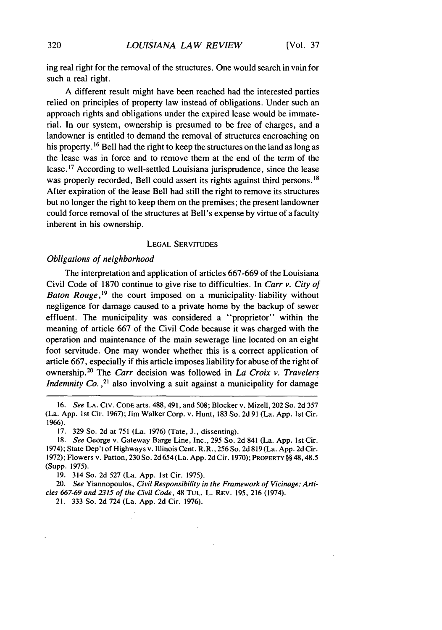ing real right for the removal of the structures. One would search in vain for such a real right.

A different result might have been reached had the interested parties relied on principles of property law instead of obligations. Under such an approach rights and obligations under the expired lease would be immaterial. In our system, ownership is presumed to be free of charges, and a landowner is entitled to demand the removal of structures encroaching on his property.<sup>16</sup> Bell had the right to keep the structures on the land as long as the lease was in force and to remove them at the end of the term of the lease.<sup>17</sup> According to well-settled Louisiana jurisprudence, since the lease was properly recorded, Bell could assert its rights against third persons.<sup>18</sup> After expiration of the lease Bell had still the right to remove its structures but no longer the right to keep them on the premises; the present landowner could force removal of the structures at Bell's expense by virtue of a faculty inherent in his ownership.

#### LEGAL SERVITUDES

#### *Obligations of neighborhood*

The interpretation and application of articles 667-669 of the Louisiana Civil Code of 1870 continue to give rise to difficulties. In *Carr v. City of Baton Rouge*,<sup>19</sup> the court imposed on a municipality liability without negligence for damage caused to a private home by the backup of sewer effluent. The municipality was considered a "proprietor" within the meaning of article 667 of the Civil Code because it was charged with the operation and maintenance of the main sewerage line located on an eight foot servitude. One may wonder whether this is a correct application of article 667, especially if this article imposes liability for abuse of the right of ownership.2 ° The *Carr* decision was followed in *La Croix v. Travelers Indemnity Co.*,<sup>21</sup> also involving a suit against a municipality for damage

17. 329 So. 2d at **751** (La. 1976) (Tate, J., dissenting).

19. 314 So. 2d 527 (La. App. 1st Cir. 1975).

20. See Yiannopoulos, *Civil* Responsibility in the Framework of *Vicinage:* Arti*cles* **667-69** and **2315** of the Civil *Code,* 48 TUL. L. REV. 195, **216** (1974).

21. 333 So. 2d 724 (La. App. 2d Cir. 1976).

 $\ddot{\cdot}$ 

<sup>16.</sup> See **LA.** CiV. **CODE** arts. 488,491, and 508; Blocker v. Mizell, 202 So. 2d 357 (La. App. 1st Cir. 1967); Jim Walker Corp. v. Hunt, 183 So. 2d 91 (La. App. 1st Cir. 1966).

<sup>18.</sup> *See* George v. Gateway Barge Line, Inc., 295 So. 2d 841 (La. App. 1st Cir. 1974); State Dep't of Highways v. Illinois Cent. R.R., 256 So. 2d 819 (La. App. 2d Cir. 1972); Flowers v. Patton, 230 So. 2d 654 (La. App. 2d Cir. 1970); PROPERTY §§ 48,48.5 (Supp. 1975).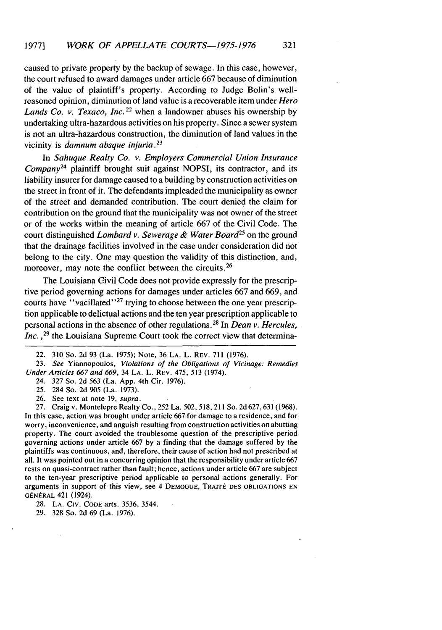caused to private property by the backup of sewage. In this case, however, the court refused to award damages under article 667 because of diminution of the value of plaintiff's property. According to Judge Bolin's wellreasoned opinion, diminution of land value is a recoverable item under *Hero* Lands *Co. v. Texaco, Inc.*<sup>22</sup> when a landowner abuses his ownership by undertaking ultra-hazardous activities on his property. Since a sewer system is not an ultra-hazardous construction, the diminution of land values in the vicinity is *damnum absque injuria.23*

In Sahuque *Realty Co. v. Employers Commercial Union Insurance Company24* plaintiff brought suit against NOPSI, its contractor, and its liability insurer for damage caused to a building by construction activities on the street in front of it. The defendants impleaded the municipality as owner of the street and demanded contribution. The court denied the claim for contribution on the ground that the municipality was not owner of the street or of the works within the meaning of article 667 of the Civil Code. The court distinguished *Lombard v. Sewerage & Water Board<sup>25</sup>* on the ground that the drainage facilities involved in the case under consideration did not belong to the city. One may question the validity of this distinction, and, moreover, may note the conflict between the circuits.<sup>26</sup>

The Louisiana Civil Code does not provide expressly for the prescriptive period governing actions for damages under articles 667 and 669, and courts have "vacillated"<sup>27</sup> trying to choose between the one year prescription applicable to delictual actions and the ten year prescription applicable to personal actions in the absence of other regulations.28 In *Dean v. Hercules, Inc.*,<sup>29</sup> the Louisiana Supreme Court took the correct view that determina-

- 24. 327 So. 2d 563 (La. App. 4th Cir. 1976).
- 25. 284 So. 2d 905 (La. 1973).
- 26. See text at note 19, *supra.*

27. Craig v. Montelepre Realty Co., 252 La. 502, 518, 211 So. 2d 627,631(1968). In this case, action was brought under article 667 for damage to a residence, and for worry, inconvenience, and anguish resulting from construction activities on abutting property. The court avoided the troublesome question of the prescriptive period governing actions under article 667 by a finding that the damage suffered by the plaintiffs was continuous, and, therefore, their cause of action had not prescribed at all. It was pointed out in a concurring opinion that the responsibility under article 667 rests on quasi-contract rather than fault; hence, actions under article 667 are subject to the ten-year prescriptive period applicable to personal actions generally. For arguments in support of this view, see 4 DEMOGUE, TRAITÉ DES OBLIGATIONS EN GÉNÉRAL 421 (1924).

29. 328 So. 2d 69 (La. 1976).

<sup>22. 310</sup> So. 2d 93 (La. 1975); Note, 36 **LA.** L. REV. 711 (1976).

<sup>23.</sup> *See* Yiannopoulos, *Violations of the Obligations of Vicinage: Remedies Under Articles 667 and 669,* 34 LA. L. REV. 475, 513 (1974).

<sup>28.</sup> LA. CIV. **CODE** arts. 3536, 3544.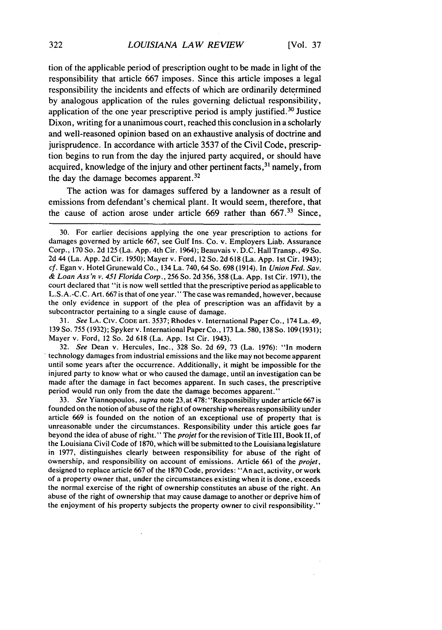tion of the applicable period of prescription ought to be made in light of the responsibility that article 667 imposes. Since this article imposes a legal responsibility the incidents and effects of which are ordinarily determined by analogous application of the rules governing delictual responsibility, application of the one year prescriptive period is amply justified.<sup>30</sup> Justice Dixon, writing for a unanimous court, reached this conclusion in a scholarly and well-reasoned opinion based on an exhaustive analysis of doctrine and jurisprudence. In accordance with article 3537 of the Civil Code, prescription begins to run from the day the injured party acquired, or should have acquired, knowledge of the injury and other pertinent facts,<sup>31</sup> namely, from the day the damage becomes apparent **.32**

The action was for damages suffered by a landowner as a result of emissions from defendant's chemical plant. It would seem, therefore, that the cause of action arose under article 669 rather than 667.<sup>33</sup> Since,

*31. See* **LA.** CIv. **CODE** art. 3537; Rhodes v. International Paper Co., 174 La. 49, 139 So. 755 (1932); Spyker v. International Paper Co., 173 La. 580, 138 So. 109 (1931); Mayer v. Ford, 12 So. 2d 618 (La. App. Ist Cir. 1943).

32. *See* Dean v. Hercules, Inc., 328 So. 2d 69, 73 (La. 1976): "In modern technology damages from industrial emissions and the like may not become apparent until some years after the occurrence. Additionally, it might be impossible for the injured party to know what or who caused the damage, until an investigation can be made after the damage in fact becomes apparent. In such cases, the prescriptive period would run only from the date the damage becomes apparent."

33. *See* Yiannopoulos, *supra* note 23,at 478: "Responsibility under article 667 is founded on the notion of abuse of the right of ownership whereas responsibility under article 669 is founded on the notion of an exceptional use of property that is unreasonable under the circumstances. Responsibility under this article goes far beyond the idea of abuse of right." The *projet* for the revision of Title III, Book II, of the Louisiana Civil Code of 1870, which will be submitted to the Louisiana legislature in 1977, distinguishes clearly between responsibility for abuse of the right of ownership, and responsibility on account of emissions. Article 661 of the *projet,* designed to replace article 667 of the 1870 Code, provides: "An act, activity, or work of a property owner that, under the circumstances existing when it is done, exceeds the normal exercise of the right of ownership constitutes an abuse of the right. An abuse of the right of ownership that may cause damage to another or deprive him of the enjoyment of his property subjects the property owner to civil responsibility."

<sup>30.</sup> For earlier decisions applying the one year prescription to actions for damages governed by article 667, see Gulf Ins. Co. v. Employers Liab. Assurance Corp., 170 So. 2d 125 (La. App. 4th Cir. 1964); Beauvais v. D.C. Hall Transp., 49 So. 2d 44 (La. App. 2d Cir. 1950); Mayer v. Ford, 12 So. 2d 618 (La. App. **Ist** Cir. 1943); *cf.* Egan v. Hotel Grunewald Co., 134 La. 740, 64 So. 698 (1914). In *Union Fed. Say. & Loan Ass'n v. 451 Florida Corp.,* 256 So. 2d 356, 358 (La. App. 1st Cir. 1971), the court declared that "it is now well settled that the prescriptive period as applicable to L.S.A.-C.C. Art. 667 is that of one year." The case was remanded, however, because the only evidence in support of the plea of prescription was an affidavit by a subcontractor pertaining to a single cause of damage.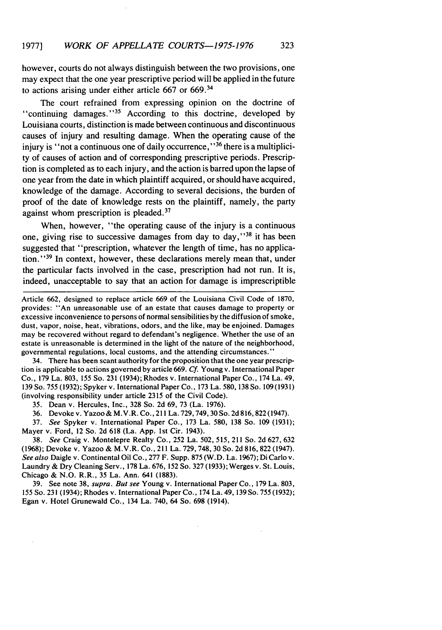however, courts do not always distinguish between the two provisions, one may expect that the one year prescriptive period will be applied in the future to actions arising under either article 667 or 669.<sup>34</sup>

The court refrained from expressing opinion on the doctrine of "continuing damages."<sup>35</sup> According to this doctrine, developed by Louisiana courts, distinction is made between continuous and discontinuous causes of injury and resulting damage. When the operating cause of the injury is "not a continuous one of daily occurrence,"  $36$  there is a multiplicity of causes of action and of corresponding prescriptive periods. Prescription is completed as to each injury, and the action is barred upon the lapse of one year from the date in which plaintiff acquired, or should have acquired, knowledge of the damage. According to several decisions, the burden of proof of the date of knowledge rests on the plaintiff, namely, the party against whom prescription is pleaded.<sup>37</sup>

When, however, "the operating cause of the injury is a continuous one, giving rise to successive damages from day to day,"<sup>38</sup> it has been suggested that "prescription, whatever the length of time, has no application."<sup>39</sup> In context, however, these declarations merely mean that, under the particular facts involved in the case, prescription had not run. It is, indeed, unacceptable to say that an action for damage is imprescriptible

Article 662, designed to replace article 669 of the Louisiana Civil Code of 1870, provides: "An unreasonable use of an estate that causes damage to property or excessive inconvenience to persons of normal sensibilities by the diffusion of smoke, dust, vapor, noise, heat, vibrations, odors, and the like, may be enjoined. Damages may be recovered without regard to defendant's negligence. Whether the use of an estate is unreasonable is determined in the light of the nature of the neighborhood, governmental regulations, local customs, and the attending circumstances."

34. There has been scant authority for the proposition that the one year prescription is applicable to actions governed by article 669. **Cf.** Young v. International Paper Co., 179 La. 803, 155 So. 231 (1934); Rhodes v. International Paper Co., 174 La. 49, 139 So. 755 (1932); Spyker v. International Paper Co., 173 La. 580, 138 So. **109** (1931) (involving responsibility under article 2315 of the Civil Code).

- 35. Dean v. Hercules, Inc., 328 So. 2d 69, 73 (La. 1976).
- 36. Devokev. Yazoo& M.V.R. Co., 211 La. 729,749,3OSo. 2d816,822(1947).

37. See Spyker v. International Paper Co., 173 La. 580, 138 So. 109 (1931); Mayer v. Ford, 12 So. 2d 618 (La. App. 1st Cir. 1943).

38. See Craig v. Montelepre Realty Co., 252 La. 502, 515, 211 So. 2d 627, 632 (1968); Devoke v. Yazoo & M.V.R. Co., 211 La. 729,748,30 So. 2d 816,822 (1947). See also Daigle v. Continental Oil Co., 277 F. Supp. 875 (W.D. La. 1967); Di Carlo v. Laundry & Dry Cleaning Serv., 178 La. 676, 152 So. 327 (1933); Werges v. St. Louis, Chicago & N.O. R.R., 35 La. Ann. 641 (1883).

39. See note 38, supra. But see Young v. International Paper Co., 179 La. 803, 155 So. 231 (1934); Rhodes v. International Paper Co., 174 La. 49, 139 So. 755 (1932); Egan v. Hotel Grunewald Co., 134 La. 740, 64 So. 698 (1914).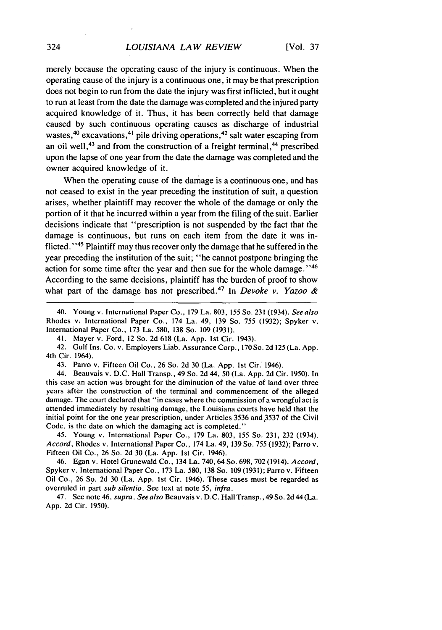merely because the operating cause of the injury is continuous. When the operating cause of the injury is a continuous one, it may be that prescription does not begin to run from the date the injury was first inflicted, but it ought to run at least from the date the damage was completed and the injured party acquired knowledge of it. Thus, it has been correctly held that damage caused by such continuous operating causes as discharge of industrial wastes,<sup>40</sup> excavations,<sup>41</sup> pile driving operations,<sup>42</sup> salt water escaping from an oil well,<sup>43</sup> and from the construction of a freight terminal,<sup>44</sup> prescribed upon the lapse of one year from the date the damage was completed and the owner acquired knowledge of it.

When the operating cause of the damage is a continuous one, and has not ceased to exist in the year preceding the institution of suit, a question arises, whether plaintiff may recover the whole of the damage or only the portion of it that he incurred within a year from the filing of the suit. Earlier decisions indicate that "prescription is not suspended by the fact that the damage is continuous, but runs on each item from the date it was inflicted." 45 Plaintiff may thus recover only the damage that he suffered in the year preceding the institution of the suit; "he cannot postpone bringing the action for some time after the year and then sue for the whole damage."<sup>46</sup> According to the same decisions, plaintiff has the burden of proof to show what part of the damage has not prescribed.<sup>47</sup> In *Devoke v. Yazoo &* 

41. Mayer v. Ford, 12 So. 2d 618 (La. App. Ist Cir. 1943).

42. Gulf Ins. Co. v. Employers Liab. Assurance Corp., 170 So. 2d 125 (La. App. 4th Cir. 1964).

43. Parro v. Fifteen Oil Co., 26 So. 2d 30 (La. App. 1st Cir.' 1946).

44. Beauvais v. D.C. Hall Transp., 49 So. 2d 44, 50 (La. App. 2d Cir. 1950). In this case an action was brought for the diminution of the value of land over three years after the construction of the terminal and commencement of the alleged damage. The court declared that "in cases where the commission of a wrongful act is attended immediately by resulting damage, the Louisiana courts have held that the initial point for the one year prescription, under Articles 3536 and **3537** of the Civil Code, is the date on which the damaging act is completed."

45. Young v. International Paper Co., 179 La. 803, 155 So. 231, **232** (1934). *Accord,* Rhodes v. International Paper Co., 174 La. 49, 139 So. 755 (1932); Parro v. Fifteen Oil Co., 26 So. 2d 30 (La. App. Ist Cir. 1946).

46. Egan v. Hotel Grunewald Co., 134 La. 740, 64 So. 698, 702 (1914). *Accord,* Spyker v. International Paper Co., 173 La. 580, 138 So. 109 (1931); Parro v. Fifteen Oil Co., 26 So. 2d 30 (La. App. 1st Cir. 1946). These cases must be regarded as overruled in part *sub silentio.* See text at note *55, infra.*

47. See note 46, *supra. See also* Beauvais v. D.C. Hall Transp., 49 So. 2d 44 (La. App. 2d Cir. 1950).

<sup>40.</sup> Young v. International Paper Co., 179 La. 803, 155 So. 231 (1934). *See also* Rhodes v: International Paper Co., 174 La. 49, 139 So. 755 (1932); Spyker v. International Paper Co., 173 La. 580, 138 So. 109 (1931).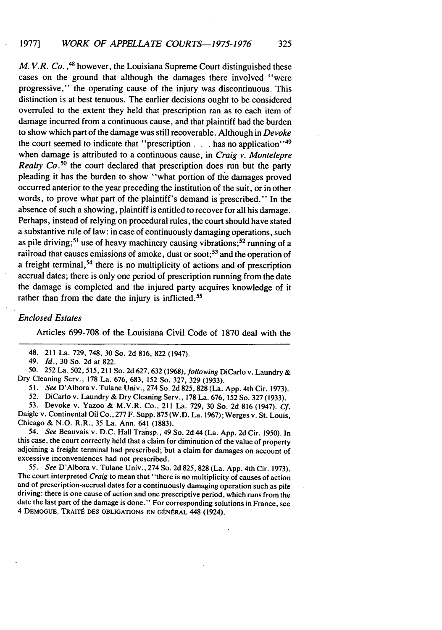*M. V.R. Co.*, <sup>48</sup> however, the Louisiana Supreme Court distinguished these cases on the ground that although the damages there involved "were progressive," the operating cause of the injury was discontinuous. This distinction is at best tenuous. The earlier decisions ought to be considered overruled to the extent they held that prescription ran as to each item of damage incurred from a continuous cause, and that plaintiff had the burden to show which part of the damage was still recoverable. Although in *Devoke* the court seemed to indicate that "prescription  $\ldots$  has no application"<sup>49</sup> when damage is attributed to a continuous cause, in *Craig v. Montelepre* Realty **Co.50** the court declared that prescription does run but the party pleading it has the burden to show "what portion of the damages proved occurred anterior to the year preceding the institution of the suit, or in other words, to prove what part of the plaintiff's demand is prescribed." In the absence of such a showing, plaintiff is entitled to recover for all his damage. Perhaps, instead of relying on procedural rules, the court should have stated a substantive rule of law: in case of continuously damaging operations, such as pile driving;<sup>51</sup> use of heavy machinery causing vibrations;<sup>52</sup> running of a railroad that causes emissions of smoke, dust or soot;<sup>53</sup> and the operation of a freight terminal,<sup>54</sup> there is no multiplicity of actions and of prescription accrual dates; there is only one period of prescription running from the date the damage is completed and the injured party acquires knowledge of it rather than from the date the injury is inflicted.<sup>55</sup>

# *Enclosed Estates*

Articles 699-708 of the Louisiana Civil Code of 1870 deal with the

48. 211 La. 729, 748, 30 So. 2d 816, 822 (1947).

49. *Id.,* 30 So. 2d at 822.

50. 252 La. 502,515, 211 So. 2d 627,632 (1968), following DiCarlo v. Laundry & Dry Cleaning Serv., 178 La. 676, 683, 152 So. 327, 329 (1933).

*51. See* D'Albora v. Tulane Univ., 274 So. 2d 825,828 (La. App. 4th Cir. 1973).

52. DiCarlo v. Laundry & Dry Cleaning Serv., 178 La. 676, 152 So. 327 (1933).

53. Devoke v. Yazoo & M.V.R. Co., 211 La. 729, 30 So. 2d 816 (1947). *Cf.* Daigle v. Continental Oil Co., 277 F. Supp. 875 (W.D. La. 1967); Werges v. St. Louis, Chicago & N.O. R.R., 35 La. Ann. 641 (1883).

*54. See* Beauvais v. D.C. Hall Transp., 49 So. 2d 44 (La. App. 2d Cir. 1950). In this case, the court correctly held that a claim for diminution of the value of property adjoining a freight terminal had prescribed; but a claim for damages on account of excessive inconveniences had not prescribed.

*55. See* D'Albora v. Tulane Univ., 274 So. 2d 825, 828 (La. App. 4th Cir. 1973). The court interpreted *Craig* to mean that "there is no multiplicity of causes of action and of prescription-accrual dates for a continuously damaging operation such as pile driving: there is one cause of action and one prescriptive period, which runs from the date the last part of the damage is done." For corresponding solutions in France, see 4 DEMOGUE, TRAITÉ DES OBLIGATIONS EN GÉNÉRAL 448 (1924).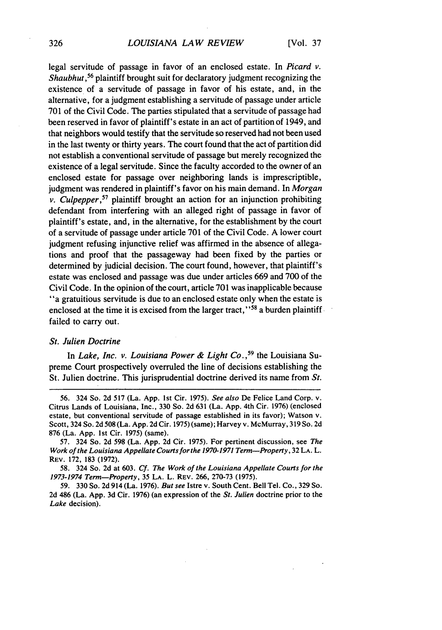# *LOUISIANA LAW REVIEW*

legal servitude of passage in favor of an enclosed estate. In *Picard v.* Shaubhut,*56* plaintiff brought suit for declaratory judgment recognizing the existence of a servitude of passage in favor of his estate, and, in the alternative, for a judgment establishing a servitude of passage under article 701 of the Civil Code. The parties stipulated that a servitude of passage had been reserved in favor of plaintiff's estate in an act of partition of 1949, and that neighbors would testify that the servitude so reserved had not been used in the last twenty or thirty years. The court found that the act of partition did not establish a conventional servitude of passage but merely recognized the existence of a legal servitude. Since the faculty accorded to the owner of an enclosed estate for passage over neighboring lands is imprescriptible, judgment was rendered in plaintiff's favor on his main demand. In *Morgan v. Culpepper,57* plaintiff brought an action for an injunction prohibiting defendant from interfering with an alleged right of passage in favor of plaintiff's estate, and, in the alternative, for the establishment by the court of a servitude of passage under article 701 of the Civil Code. A lower court judgment refusing injunctive relief was affirmed in the absence of allegations and proof that the passageway had been fixed by the parties or determined by judicial decision. The court found, however, that plaintiff's estate was enclosed and passage was due under articles 669 and 700 of the Civil Code. In the opinion of the court, article 701 was inapplicable because "a gratuitious servitude is due to an enclosed estate only when the estate is enclosed at the time it is excised from the larger tract,"<sup>58</sup> a burden plaintiff failed to carry out.

#### *St. Julien Doctrine*

In *Lake, Inc. v. Louisiana Power & Light Co.,<sup>59</sup>*the Louisiana Supreme Court prospectively overruled the line of decisions establishing the St. Julien doctrine. This jurisprudential doctrine derived its name from *St.*

<sup>56.</sup> 324 So. 2d 517 (La. App. 1st Cir. 1975). *See also* De Felice Land Corp. v. Citrus Lands of Louisiana, Inc., 330 So. 2d 631 (La. App. 4th Cir. 1976) (enclosed estate, but conventional servitude of passage established in its favor); Watson v. Scott, 324 So. 2d 508 (La. App. 2d Cir. 1975) (same); Harvey v. McMurray, 319 So. 2d 876 (La. App. 1st Cir. 1975) (same).

<sup>57. 324</sup> So. 2d 598 (La. App. 2d Cir. 1975). For pertinent discussion, see *The Work of the Louisiana Appellate Courts forthe 1970-1971 Term-Property,* **32 LA.** L. REV. 172, **183** (1972).

<sup>58. 324</sup> So. 2d at 603. *Cf. The Work of the Louisiana Appellate Courts for the 1973-1974 Term-Property,* 35 **LA.** L. REV. 266, 270-73 (1975).

<sup>59. 330</sup> So. 2d 914 (La. 1976). *But see* Istre v. South Cent. Bell Tel. Co., 329 So. 2d 486 (La. App. **3d** Cir. 1976) (an expression of the *St. Julien* doctrine prior to the *Lake* decision).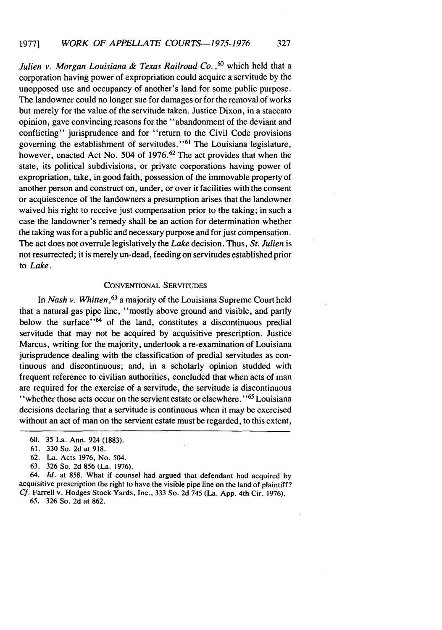Julien v. Morgan Louisiana & Texas Railroad Co.<sup>60</sup> which held that a corporation having power of expropriation could acquire a servitude by the unopposed use and occupancy of another's land for some public purpose. The landowner could no longer sue for damages or for the removal of works but merely for the value of the servitude taken. Justice Dixon, in a staccato opinion, gave convincing reasons for the "abandonment of the deviant and conflicting" jurisprudence and for "return to the Civil Code provisions" governing the establishment of servitudes."<sup>61</sup> The Louisiana legislature, however, enacted Act No. 504 of 1976.<sup>62</sup> The act provides that when the state, its political subdivisions, or private corporations having power of expropriation, take, in good faith, possession of the immovable property of another person and construct on, under, or over it facilities with the consent or acquiescence of the landowners a presumption arises that the landowner waived his right to receive just compensation prior to the taking; in such a case the landowner's remedy shall be an action for determination whether the taking was for a public and necessary purpose and for just compensation. The act does not overrule legislatively the *Lake* decision. Thus, *St. Julien* is not resurrected; it is merely un-dead, feeding on servitudes established prior to *Lake.*

# CONVENTIONAL SERVITUDES

In *Nash v. Whitten,63* a majority of the Louisiana Supreme Court held that a natural gas pipe line, "mostly above ground and visible, and partly below the surface"<sup>64</sup> of the land, constitutes a discontinuous predial servitude that may not be acquired by acquisitive prescription. Justice Marcus, writing for the majority, undertook a re-examination of Louisiana jurisprudence dealing with the classification of predial servitudes as continuous and discontinuous; and, in a scholarly opinion studded with frequent reference to civilian authorities, concluded that when acts of man are required for the exercise of a servitude, the servitude is discontinuous "whether those acts occur on the servient estate or elsewhere."<sup>65</sup> Louisiana decisions declaring that a servitude is continuous when it may be exercised without an act of man on the servient estate must be regarded, to this extent,

64. *Id.* at 858. What if counsel had argued that defendant had acquired by acquisitive prescription the right to have the visible pipe line on the land of plaintiff? *Cf.* Farrell v. Hodges Stock Yards, Inc., 333 So. 2d 745 (La. App. 4th Cir. 1976).

65. 326 So. 2d at 862.

<sup>60. 35</sup> La. Ann. 924 (1883).

<sup>61.</sup> 330 So. 2d at 918.

<sup>62.</sup> La. Acts 1976, No. 504.

<sup>63. 326</sup> So. 2d 856 (La. 1976).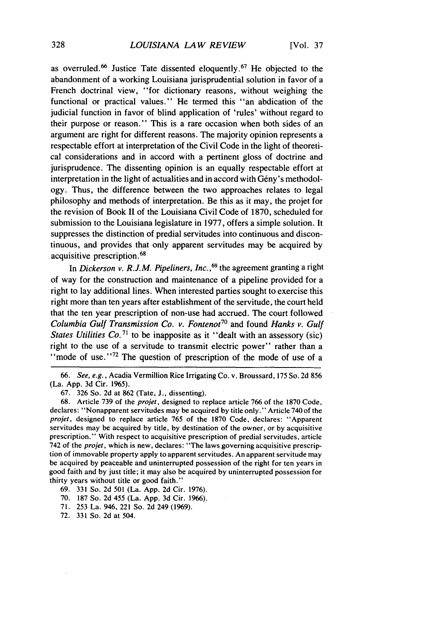as overruled.<sup>66</sup> Justice Tate dissented eloquently <sup>67</sup> He objected to the abandonment of a working Louisiana jurisprudential solution in favor of a French doctrinal view, "for dictionary reasons, without weighing the functional or practical values." He termed this "an abdication of the judicial function in favor of blind application of 'rules' without regard to their purpose or reason." This is a rare occasion when both sides of an argument are right for different reasons. The majority opinion represents a respectable effort at interpretation of the Civil Code in the light of theoretical considerations and in accord with a pertinent gloss of doctrine and jurisprudence. The dissenting opinion is an equally respectable effort at interpretation in the light of actualities and in accord with Gény's methodology. Thus, the difference between the two approaches relates to legal philosophy and methods of interpretation. Be this as it may, the projet for the revision of Book II of the Louisiana Civil Code of 1870, scheduled for submission to the Louisiana legislature in 1977, offers a simple solution. It suppresses the distinction of predial servitudes into continuous and discontinuous, and provides that only apparent servitudes may be acquired by acquisitive prescription. <sup>68</sup>

In *Dickerson v. R.J.M. Pipeliners, Inc.*,<sup>69</sup> the agreement granting a right of way for the construction and maintenance of a pipeline provided for a right to lay additional lines. When interested parties sought to exercise this right more than ten years after establishment of the servitude, the court held that the ten year prescription of non-use had accrued. The court followed Columbia Gulf Transmission Co. v. Fontenot*<sup>7</sup> "* and found *Hanks* v. Gulf States Utilities Co.<sup>71</sup> to be inapposite as it "dealt with an assessory (sic) right to the use of a servitude to transmit electric power" rather than a "mode of use." $72$  The question of prescription of the mode of use of a

66. *See, e.g.,* Acadia Vermillion Rice Irrigating Co. v. Broussard, 175 So. 2d 856 (La. App. 3d Cir. 1965).

67. 326 So. 2d at 862 (Tate, J., dissenting).

68. Article 739 of the projet, designed to replace article 766 of the 1870 Code, declares: "Nonapparent servitudes may be acquired by title only." Article 740 of the projet, designed to replace article 765 of the 1870 Code, declares: "Apparent servitudes may be acquired by title, by destination of the owner, or by acquisitive prescription." With respect to acquisitive prescription of predial servitudes, article 742 of the *projet,* which is new, declares: "The laws governing acquisitive prescription of immovable property apply to apparent servitudes. An apparent servitude may be acquired by peaceable and uninterrupted possession of the right for ten years in good faith and by just title; it may also be acquired by uninterrupted possession for thirty years without title or good faith."

69. 331 So. 2d 501 (La. App. 2d Cir. 1976).

70. 187 So. 2d 455 (La. App. 3d Cir. 1966).

71. 253 La. 946, 221 So. 2d 249 (1969).

72. 331 So. 2d at 504.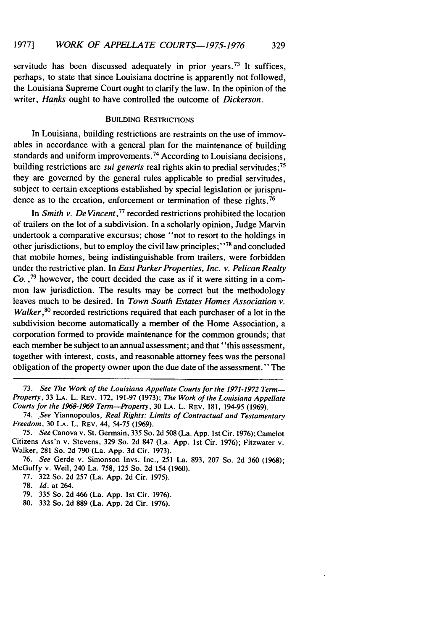servitude has been discussed adequately in prior years.<sup>73</sup> It suffices, perhaps, to state that since Louisiana doctrine is apparently not followed, the Louisiana Supreme Court ought to clarify the law. In the opinion of the writer, *Hanks* ought to have controlled the outcome of *Dickerson.*

#### BUILDING RESTRICTIONS

In Louisiana, building restrictions are restraints on the use of immovables in accordance with a general plan for the maintenance of building standards and uniform improvements.<sup>74</sup> According to Louisiana decisions, building restrictions are *sui generis* real rights akin to predial servitudes;<sup>75</sup> they are governed by the general rules applicable to predial servitudes, subject to certain exceptions established by special legislation or jurisprudence as to the creation, enforcement or termination of these rights.<sup>76</sup>

In *Smith v. De Vincent 77* recorded restrictions prohibited the location of trailers on the lot of a subdivision. In a scholarly opinion, Judge Marvin undertook a comparative excursus; chose "not to resort to the holdings in other jurisdictions, but to employ the civil law principles;"<sup>78</sup> and concluded that mobile homes, being indistinguishable from trailers, were forbidden under the restrictive plan. In *East Parker Properties, Inc. v. Pelican Realty Co.* **,79** however, the court decided the case as if it were sitting in a common law jurisdiction. The results may be correct but the methodology leaves much to be desired. In *Town South Estates Homes Association v. Walker*,<sup>80</sup> recorded restrictions required that each purchaser of a lot in the subdivision become automatically a member of the Home Association, a corporation formed to provide maintenance for the common grounds; that each member be subject to an annual assessment; and that "this assessment, together with interest, costs, and reasonable attorney fees was the personal obligation of the property owner upon the due date of the assessment." The

<sup>73.</sup> See The Work of the Louisiana Appellate Courts for the 1971-1972 Term-Property, 33 LA. L. REV. 172, 191-97 (1973); The Work of the Louisiana Appellate Courts for the 1968-1969 Term-Property, 30 LA. L. REV. **181,** 194-95 (1969).

<sup>74.</sup> See Yiannopoulos, Real *Rights: Limits of Contractual* and Testamentary Freedom, 30 LA. L. REV. 44, 54-75 (1969).

*<sup>75.</sup>* See Canova v. St. Germain, 335 So. 2d 508 (La. App. Ist Cir. 1976); Camelot Citizens Ass'n v. Stevens, 329 So. 2d 847 (La. App. 1st Cir. 1976); Fitzwater v. Walker, 281 So. 2d 790 (La. App. 3d Cir. 1973).

<sup>76.</sup> See Gerde v. Simonson Invs. Inc., 251 La. 893, 207 So. 2d 360 (1968); McGuffy v. Weil, 240 La. 758, 125 So. 2d 154 (1960).

<sup>77. 322</sup> So. 2d 257 (La. App. 2d Cir. 1975).

<sup>78.</sup> *Id.* at 264.

<sup>79. 335</sup> So. 2d 466 (La. App. 1st Cir. 1976).

<sup>80. 332</sup> So. 2d 889 (La. App. 2d Cir. 1976).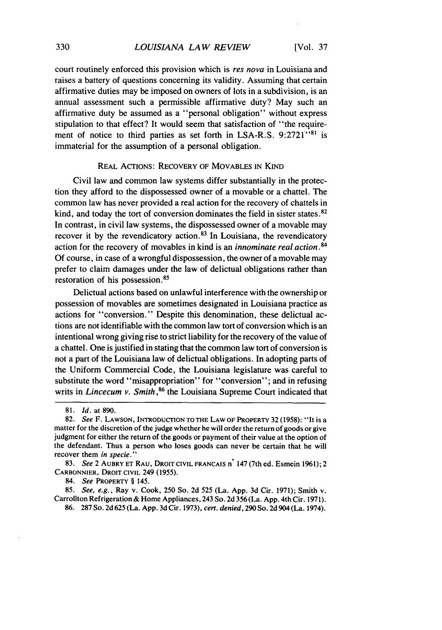court routinely enforced this provision which is res nova in Louisiana and raises a battery of questions concerning its validity. Assuming that certain affirmative duties may be imposed on owners of lots in a subdivision, is an annual assessment such a permissible affirmative duty? May such an affirmative duty be assumed as a "personal obligation" without express stipulation to that effect? It would seem that satisfaction of "the requirement of notice to third parties as set forth in LSA-R.S. 9:2721"<sup>81</sup> is immaterial for the assumption of a personal obligation.

#### REAL ACTIONS: RECOVERY OF MOVABLES IN KIND

Civil law and common law systems differ substantially in the protection they afford to the dispossessed owner of a movable or a chattel. The common law has never provided a real action for the recovery of chattels in kind, and today the tort of conversion dominates the field in sister states.<sup>82</sup> In contrast, in civil law systems, the dispossessed owner of a movable may recover it by the revendicatory action.<sup>83</sup> In Louisiana, the revendicatory action for the recovery of movables in kind is an *innominate real action. 84* Of course, in case of a wrongful dispossession, the owner of a movable may prefer to claim damages under the law of delictual obligations rather than restoration of his possession. <sup>85</sup>

Delictual actions based on unlawful interference with the ownership or possession of movables are sometimes designated in Louisiana practice as actions for "conversion." Despite this denomination, these delictual actions are not identifiable with the common law tort of conversion which is an intentional wrong giving rise to strict liability for the recovery of the value of a chattel. One is justified in stating that the common law tort of conversion is not a part of the Louisiana law of delictual obligations. In adopting parts of the Uniform Commercial Code, the Louisiana legislature was careful to substitute the word "misappropriation" for "conversion"; and in refusing writs in *Lincecum v. Smith*, <sup>86</sup> the Louisiana Supreme Court indicated that

84. *See* PROPERTY § 145.

85. *See, e.g.,* Ray v. Cook, 250 So. 2d 525 (La. App. 3d Cir. 1971); Smith v. Carrollton Refrigeration & Home Appliances, 243 So. 2d 356 (La. App. 4th Cir. 1971). 86. 287 So. 2d 625 (La. App. 3d Cir. 1973), *cert. denied,* 290 So. 2d 904 (La. 1974).

<sup>81.</sup> *Id.* at 890.

<sup>82.</sup> *See* F. **LAWSON, INTRODUCTION** TO **THE** LAW OF PROPERTY 32 (1958): "It is a matter for the discretion of the judge whether he will order the return of goods or give judgment for either the return of the goods or payment of their value at the option of the defendant. Thus a person who loses goods can never be certain that he will recover them *in specie."*

<sup>83.</sup> *See* 2 AUBRY ET RAU, DROIT CIVIL FRANCAIS n<sup>°</sup> 147 (7th ed. Esmein 1961); 2 CARBONNIER, DROIT **CIVIL** 249 (1955).